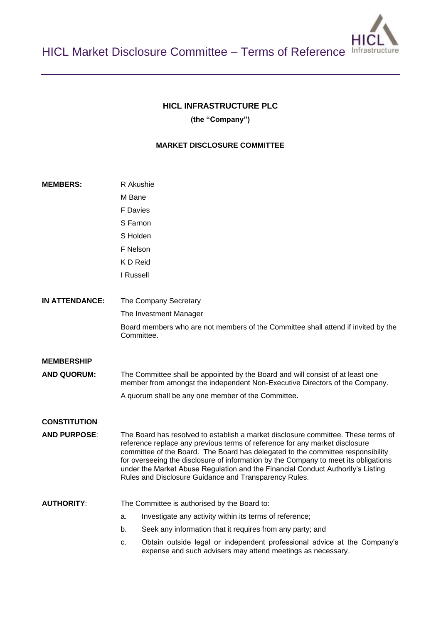## **HICL INFRASTRUCTURE PLC**

**(the "Company")**

# **MARKET DISCLOSURE COMMITTEE**

| <b>MEMBERS:</b>       | R Akushie                                                                                                                                                                                                                                                                                                                                                                                                                                                                              |
|-----------------------|----------------------------------------------------------------------------------------------------------------------------------------------------------------------------------------------------------------------------------------------------------------------------------------------------------------------------------------------------------------------------------------------------------------------------------------------------------------------------------------|
|                       | M Bane                                                                                                                                                                                                                                                                                                                                                                                                                                                                                 |
|                       | <b>F</b> Davies                                                                                                                                                                                                                                                                                                                                                                                                                                                                        |
|                       | S Farnon                                                                                                                                                                                                                                                                                                                                                                                                                                                                               |
|                       | S Holden                                                                                                                                                                                                                                                                                                                                                                                                                                                                               |
|                       | F Nelson                                                                                                                                                                                                                                                                                                                                                                                                                                                                               |
|                       | K D Reid                                                                                                                                                                                                                                                                                                                                                                                                                                                                               |
|                       | I Russell                                                                                                                                                                                                                                                                                                                                                                                                                                                                              |
| <b>IN ATTENDANCE:</b> | The Company Secretary                                                                                                                                                                                                                                                                                                                                                                                                                                                                  |
|                       | The Investment Manager                                                                                                                                                                                                                                                                                                                                                                                                                                                                 |
|                       | Board members who are not members of the Committee shall attend if invited by the<br>Committee.                                                                                                                                                                                                                                                                                                                                                                                        |
| <b>MEMBERSHIP</b>     |                                                                                                                                                                                                                                                                                                                                                                                                                                                                                        |
| <b>AND QUORUM:</b>    | The Committee shall be appointed by the Board and will consist of at least one<br>member from amongst the independent Non-Executive Directors of the Company.                                                                                                                                                                                                                                                                                                                          |
|                       | A quorum shall be any one member of the Committee.                                                                                                                                                                                                                                                                                                                                                                                                                                     |
| <b>CONSTITUTION</b>   |                                                                                                                                                                                                                                                                                                                                                                                                                                                                                        |
| <b>AND PURPOSE:</b>   | The Board has resolved to establish a market disclosure committee. These terms of<br>reference replace any previous terms of reference for any market disclosure<br>committee of the Board. The Board has delegated to the committee responsibility<br>for overseeing the disclosure of information by the Company to meet its obligations<br>under the Market Abuse Regulation and the Financial Conduct Authority's Listing<br>Rules and Disclosure Guidance and Transparency Rules. |
| <b>AUTHORITY:</b>     | The Committee is authorised by the Board to:                                                                                                                                                                                                                                                                                                                                                                                                                                           |
|                       | Investigate any activity within its terms of reference;<br>a.                                                                                                                                                                                                                                                                                                                                                                                                                          |
|                       | Seek any information that it requires from any party; and<br>b.                                                                                                                                                                                                                                                                                                                                                                                                                        |
|                       | Obtain outside legal or independent professional advice at the Company's<br>c.<br>expense and such advisers may attend meetings as necessary.                                                                                                                                                                                                                                                                                                                                          |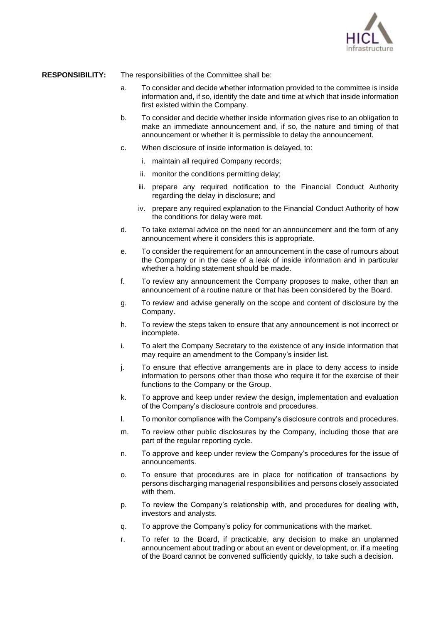

#### **RESPONSIBILITY:** The responsibilities of the Committee shall be:

- a. To consider and decide whether information provided to the committee is inside information and, if so, identify the date and time at which that inside information first existed within the Company.
- b. To consider and decide whether inside information gives rise to an obligation to make an immediate announcement and, if so, the nature and timing of that announcement or whether it is permissible to delay the announcement.
- c. When disclosure of inside information is delayed, to:
	- i. maintain all required Company records;
	- ii. monitor the conditions permitting delay;
	- iii. prepare any required notification to the Financial Conduct Authority regarding the delay in disclosure; and
	- iv. prepare any required explanation to the Financial Conduct Authority of how the conditions for delay were met.
- d. To take external advice on the need for an announcement and the form of any announcement where it considers this is appropriate.
- e. To consider the requirement for an announcement in the case of rumours about the Company or in the case of a leak of inside information and in particular whether a holding statement should be made.
- f. To review any announcement the Company proposes to make, other than an announcement of a routine nature or that has been considered by the Board.
- g. To review and advise generally on the scope and content of disclosure by the Company.
- h. To review the steps taken to ensure that any announcement is not incorrect or incomplete.
- i. To alert the Company Secretary to the existence of any inside information that may require an amendment to the Company's insider list.
- j. To ensure that effective arrangements are in place to deny access to inside information to persons other than those who require it for the exercise of their functions to the Company or the Group.
- k. To approve and keep under review the design, implementation and evaluation of the Company's disclosure controls and procedures.
- l. To monitor compliance with the Company's disclosure controls and procedures.
- m. To review other public disclosures by the Company, including those that are part of the regular reporting cycle.
- n. To approve and keep under review the Company's procedures for the issue of announcements.
- o. To ensure that procedures are in place for notification of transactions by persons discharging managerial responsibilities and persons closely associated with them.
- p. To review the Company's relationship with, and procedures for dealing with, investors and analysts.
- q. To approve the Company's policy for communications with the market.
- r. To refer to the Board, if practicable, any decision to make an unplanned announcement about trading or about an event or development, or, if a meeting of the Board cannot be convened sufficiently quickly, to take such a decision.